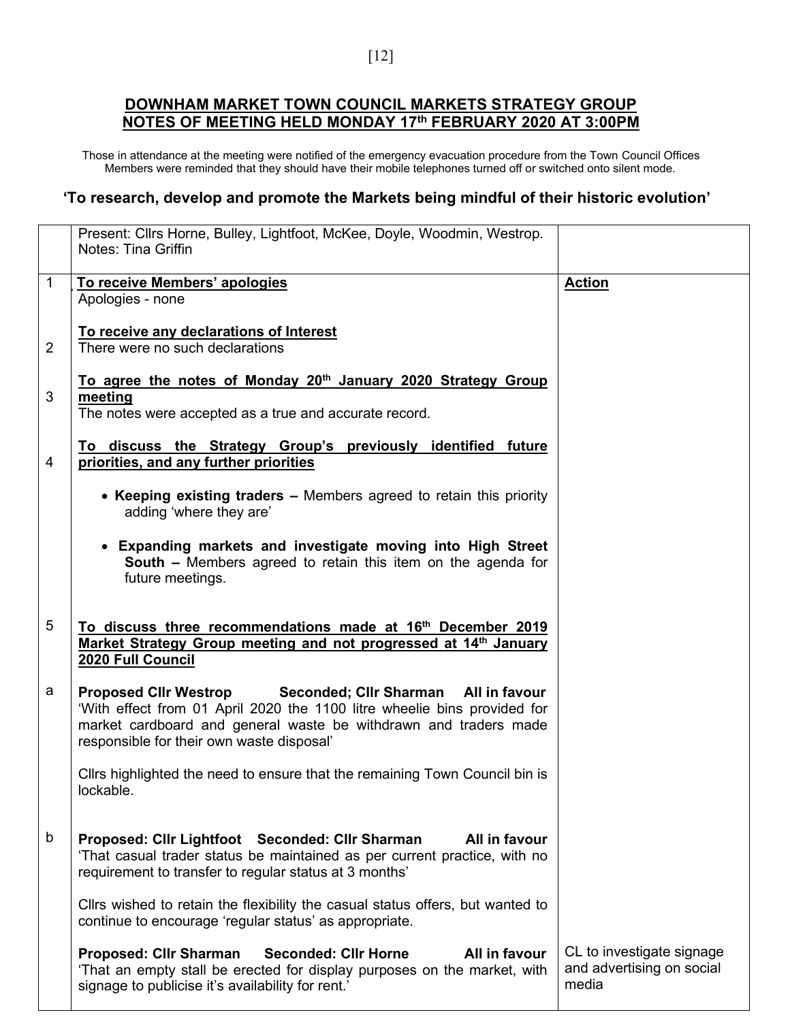## **DOWNHAM MARKET TOWN COUNCIL MARKETS STRATEGY GROUP NOTES OF MEETING HELD MONDAY 17th FEBRUARY 2020 AT 3:00PM**

Those in attendance at the meeting were notified of the emergency evacuation procedure from the Town Council Offices Members were reminded that they should have their mobile telephones turned off or switched onto silent mode.

## **'To research, develop and promote the Markets being mindful of their historic evolution'**

|   | Present: Cllrs Horne, Bulley, Lightfoot, McKee, Doyle, Woodmin, Westrop.<br><b>Notes: Tina Griffin</b>                                                                                                                                                            |                                                                 |
|---|-------------------------------------------------------------------------------------------------------------------------------------------------------------------------------------------------------------------------------------------------------------------|-----------------------------------------------------------------|
| 1 | To receive Members' apologies<br>Apologies - none                                                                                                                                                                                                                 | <b>Action</b>                                                   |
| 2 | To receive any declarations of Interest<br>There were no such declarations                                                                                                                                                                                        |                                                                 |
| 3 | To agree the notes of Monday 20 <sup>th</sup> January 2020 Strategy Group<br>meeting<br>The notes were accepted as a true and accurate record.                                                                                                                    |                                                                 |
| 4 | To discuss the Strategy Group's previously identified future<br>priorities, and any further priorities                                                                                                                                                            |                                                                 |
|   | • Keeping existing traders – Members agreed to retain this priority<br>adding 'where they are'                                                                                                                                                                    |                                                                 |
|   | • Expanding markets and investigate moving into High Street<br><b>South - Members agreed to retain this item on the agenda for</b><br>future meetings.                                                                                                            |                                                                 |
| 5 | To discuss three recommendations made at 16 <sup>th</sup> December 2019<br>Market Strategy Group meeting and not progressed at 14 <sup>th</sup> January<br>2020 Full Council                                                                                      |                                                                 |
| а | Seconded; Cllr Sharman All in favour<br><b>Proposed Clir Westrop</b><br>'With effect from 01 April 2020 the 1100 litre wheelie bins provided for<br>market cardboard and general waste be withdrawn and traders made<br>responsible for their own waste disposal' |                                                                 |
|   | Cllrs highlighted the need to ensure that the remaining Town Council bin is<br>lockable.                                                                                                                                                                          |                                                                 |
| b | All in favour<br>Proposed: Cllr Lightfoot Seconded: Cllr Sharman<br>'That casual trader status be maintained as per current practice, with no<br>requirement to transfer to regular status at 3 months'                                                           |                                                                 |
|   | Cllrs wished to retain the flexibility the casual status offers, but wanted to<br>continue to encourage 'regular status' as appropriate.                                                                                                                          |                                                                 |
|   | All in favour<br><b>Proposed: Cllr Sharman</b><br><b>Seconded: Cllr Horne</b><br>'That an empty stall be erected for display purposes on the market, with<br>signage to publicise it's availability for rent.'                                                    | CL to investigate signage<br>and advertising on social<br>media |